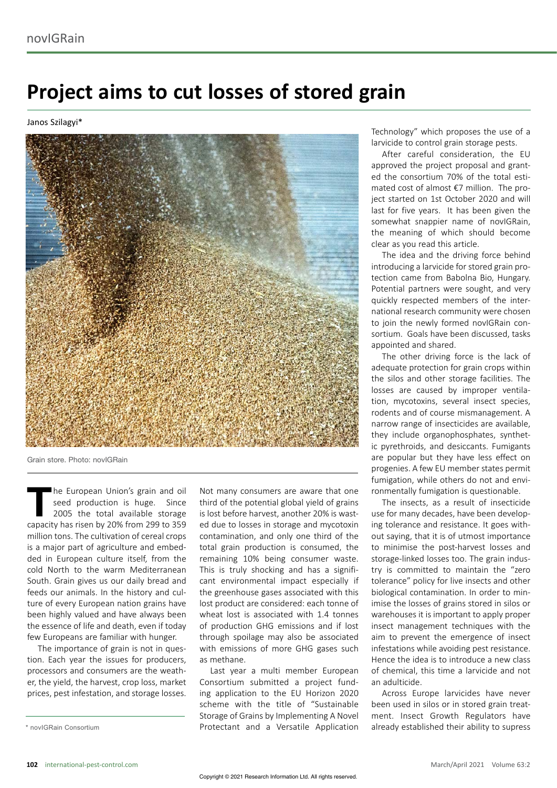## **Project aims to cut losses of stored grain**

Janos Szilagyi\*



Grain store. Photo: novIGRain

The European Union's grain and oil<br>
seed production is huge. Since<br>
2005 the total available storage<br>
conneity has risen by 200' from 200 to 250 seed production is huge. Since capacity has risen by 20% from 299 to 359 million tons. The cultivation of cereal crops is a major part of agriculture and embedded in European culture itself, from the cold North to the warm Mediterranean South. Grain gives us our daily bread and feeds our animals. In the history and culture of every European nation grains have been highly valued and have always been the essence of life and death, even if today few Europeans are familiar with hunger.

The importance of grain is not in question. Each year the issues for producers, processors and consumers are the weather, the yield, the harvest, crop loss, market prices, pest infestation, and storage losses.

\* novIGRain Consortium

Not many consumers are aware that one third of the potential global yield of grains is lost before harvest, another 20% is wasted due to losses in storage and mycotoxin contamination, and only one third of the total grain production is consumed, the remaining 10% being consumer waste. This is truly shocking and has a significant environmental impact especially if the greenhouse gases associated with this lost product are considered: each tonne of wheat lost is associated with 1.4 tonnes of production GHG emissions and if lost through spoilage may also be associated with emissions of more GHG gases such as methane.

Last year a multi member European Consortium submitted a project funding application to the EU Horizon 2020 scheme with the title of "Sustainable Storage of Grains by Implementing A Novel Protectant and a Versatile Application Technology" which proposes the use of a larvicide to control grain storage pests.

After careful consideration, the EU approved the project proposal and granted the consortium 70% of the total estimated cost of almost €7 million. The project started on 1st October 2020 and will last for five years. It has been given the somewhat snappier name of novIGRain, the meaning of which should become clear as you read this article.

The idea and the driving force behind introducing a larvicide for stored grain protection came from Babolna Bio, Hungary. Potential partners were sought, and very quickly respected members of the international research community were chosen to join the newly formed novIGRain consortium. Goals have been discussed, tasks appointed and shared.

The other driving force is the lack of adequate protection for grain crops within the silos and other storage facilities. The losses are caused by improper ventilation, mycotoxins, several insect species, rodents and of course mismanagement. A narrow range of insecticides are available, they include organophosphates, synthetic pyrethroids, and desiccants. Fumigants are popular but they have less effect on progenies. A few EU member states permit fumigation, while others do not and environmentally fumigation is questionable.

The insects, as a result of insecticide use for many decades, have been developing tolerance and resistance. It goes without saying, that it is of utmost importance to minimise the post-harvest losses and storage-linked losses too. The grain industry is committed to maintain the "zero tolerance" policy for live insects and other biological contamination. In order to minimise the losses of grains stored in silos or warehouses it is important to apply proper insect management techniques with the aim to prevent the emergence of insect infestations while avoiding pest resistance. Hence the idea is to introduce a new class of chemical, this time a larvicide and not an adulticide.

Across Europe larvicides have never been used in silos or in stored grain treatment. Insect Growth Regulators have already established their ability to supress